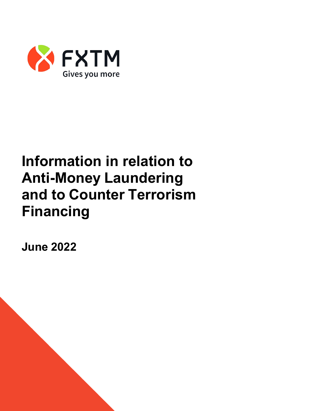

## **Information in relation to Anti-Money Laundering and to Counter Terrorism Financing**

**June 2022**

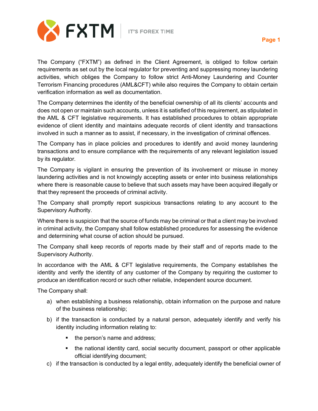

The Company ("FXTM") as defined in the Client Agreement, is obliged to follow certain requirements as set out by the local regulator for preventing and suppressing money laundering activities, which obliges the Company to follow strict Anti-Money Laundering and Counter Terrorism Financing procedures (AML&CFT) while also requires the Company to obtain certain verification information as well as documentation.

The Company determines the identity of the beneficial ownership of all its clients' accounts and does not open or maintain such accounts, unless it is satisfied of this requirement, as stipulated in the AML & CFT legislative requirements. It has established procedures to obtain appropriate evidence of client identity and maintains adequate records of client identity and transactions involved in such a manner as to assist, if necessary, in the investigation of criminal offences.

The Company has in place policies and procedures to identify and avoid money laundering transactions and to ensure compliance with the requirements of any relevant legislation issued by its regulator.

The Company is vigilant in ensuring the prevention of its involvement or misuse in money laundering activities and is not knowingly accepting assets or enter into business relationships where there is reasonable cause to believe that such assets may have been acquired illegally or that they represent the proceeds of criminal activity.

The Company shall promptly report suspicious transactions relating to any account to the Supervisory Authority.

Where there is suspicion that the source of funds may be criminal or that a client may be involved in criminal activity, the Company shall follow established procedures for assessing the evidence and determining what course of action should be pursued.

The Company shall keep records of reports made by their staff and of reports made to the Supervisory Authority.

In accordance with the AML & CFT legislative requirements, the Company establishes the identity and verify the identity of any customer of the Company by requiring the customer to produce an identification record or such other reliable, independent source document.

The Company shall:

- a) when establishing a business relationship, obtain information on the purpose and nature of the business relationship;
- b) if the transaction is conducted by a natural person, adequately identify and verify his identity including information relating to:
	- the person's name and address;
	- the national identity card, social security document, passport or other applicable official identifying document;
- c) if the transaction is conducted by a legal entity, adequately identify the beneficial owner of